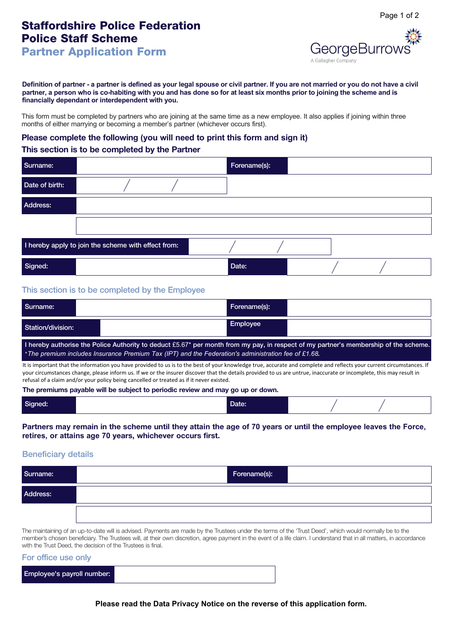# **Staffordshire Police Federation Police Staff Scheme**

**GeorgeBurroy** 

**Partner Application Form**

**Definition of partner - a partner is defined as your legal spouse or civil partner. If you are not married or you do not have a civil partner, a person who is co-habiting with you and has done so for at least six months prior to joining the scheme and is financially dependant or interdependent with you.**

This form must be completed by partners who are joining at the same time as a new employee. It also applies if joining within three months of either marrying or becoming a member's partner (whichever occurs first).

## **Please complete the following (you will need to print this form and sign it)**

## **This section is to be completed by the Partner**

| Surname:       |                                                     | Forename(s): |  |
|----------------|-----------------------------------------------------|--------------|--|
| Date of birth: |                                                     |              |  |
| Address:       |                                                     |              |  |
|                |                                                     |              |  |
|                | I hereby apply to join the scheme with effect from: |              |  |
| Signed:        |                                                     | Date:        |  |

## **This section is to be completed by the Employee**

| Surname:                            | Forename(s):             |                                                                                                                                                                      |
|-------------------------------------|--------------------------|----------------------------------------------------------------------------------------------------------------------------------------------------------------------|
| Station/division:                   | Employee                 |                                                                                                                                                                      |
| the contract of the contract of the | <b>STATE OF BUILDING</b> | ,我们也不会有什么。""我们的人,我们也不会有什么?""我们的人,我们也不会有什么?""我们的人,我们也不会有什么?""我们的人,我们也不会有什么?""我们的人<br>,我们也不会有什么。""我们的人,我们也不会有什么?""我们的人,我们也不会有什么?""我们的人,我们也不会有什么?""我们的人,我们也不会有什么?""我们的人 |

**I hereby authorise the Police Authority to deduct** £5.67\* **per month from my pay, in respect of my partner's membership of the scheme.** \**The premium includes Insurance Premium Tax (IPT) and the Federation's administration fee of £1.68.*

It is important that the information you have provided to us is to the best of your knowledge true, accurate and complete and reflects your current circumstances. If your circumstances change, please inform us. If we or the insurer discover that the details provided to us are untrue, inaccurate or incomplete, this may result in refusal of a claim and/or your policy being cancelled or treated as if it never existed.

#### **The premiums payable will be subject to periodic review and may go up or down.**

| Signed: |  | Date: |  |  |  |
|---------|--|-------|--|--|--|
|---------|--|-------|--|--|--|

**Partners may remain in the scheme until they attain the age of 70 years or until the employee leaves the Force, retires, or attains age 70 years, whichever occurs first.**

### **Beneficiary details**

| Surname: | Forename(s): |
|----------|--------------|
| Address: |              |
|          |              |

The maintaining of an up-to-date will is advised. Payments are made by the Trustees under the terms of the 'Trust Deed', which would normally be to the member's chosen beneficiary. The Trustees will, at their own discretion, agree payment in the event of a life claim. I understand that in all matters, in accordance with the Trust Deed, the decision of the Trustees is final.

#### **For office use only**

| Employee's payroll number: |  |
|----------------------------|--|
|                            |  |

**Please read the Data Privacy Notice on the reverse of this application form.**